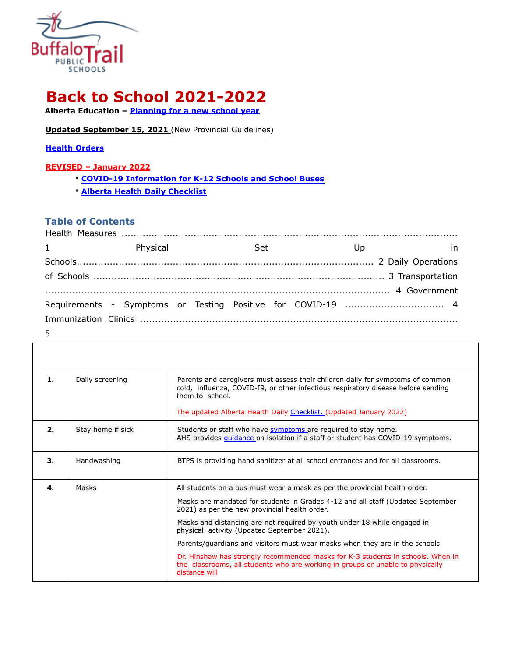

# **Back to School 2021-2022**

**Alberta Education – Planning for a new school year**

**Updated September 15, 2021** (New Provincial Guidelines)

#### **Health Orders**

#### **REVISED – January 2022**

- **COVID-19 Information for K-12 Schools and School Buses**
- **Alberta Health Daily Checklist**

### **Table of Contents**

| $1 \qquad \qquad$ | Physical | <b>Set</b> |  | U <sub>D</sub> | in |
|-------------------|----------|------------|--|----------------|----|
|                   |          |            |  |                |    |
|                   |          |            |  |                |    |
|                   |          |            |  |                |    |
|                   |          |            |  |                |    |
|                   |          |            |  |                |    |
| 5                 |          |            |  |                |    |

| 1. | Daily screening   | Parents and caregivers must assess their children daily for symptoms of common<br>cold, influenza, COVID-I9, or other infectious respiratory disease before sending<br>them to school.<br>The updated Alberta Health Daily Checklist. (Updated January 2022) |
|----|-------------------|--------------------------------------------------------------------------------------------------------------------------------------------------------------------------------------------------------------------------------------------------------------|
|    |                   |                                                                                                                                                                                                                                                              |
| 2. | Stay home if sick | Students or staff who have symptoms are required to stay home.<br>AHS provides quidance on isolation if a staff or student has COVID-19 symptoms.                                                                                                            |
| 3. | Handwashing       | BTPS is providing hand sanitizer at all school entrances and for all classrooms.                                                                                                                                                                             |
| 4. | Masks             | All students on a bus must wear a mask as per the provincial health order.<br>Masks are mandated for students in Grades 4-12 and all staff (Updated September<br>2021) as per the new provincial health order.                                               |
|    |                   | Masks and distancing are not required by youth under 18 while engaged in<br>physical activity (Updated September 2021).                                                                                                                                      |
|    |                   | Parents/guardians and visitors must wear masks when they are in the schools.                                                                                                                                                                                 |
|    |                   |                                                                                                                                                                                                                                                              |
|    |                   | Dr. Hinshaw has strongly recommended masks for K-3 students in schools. When in<br>the classrooms, all students who are working in groups or unable to physically<br>distance will                                                                           |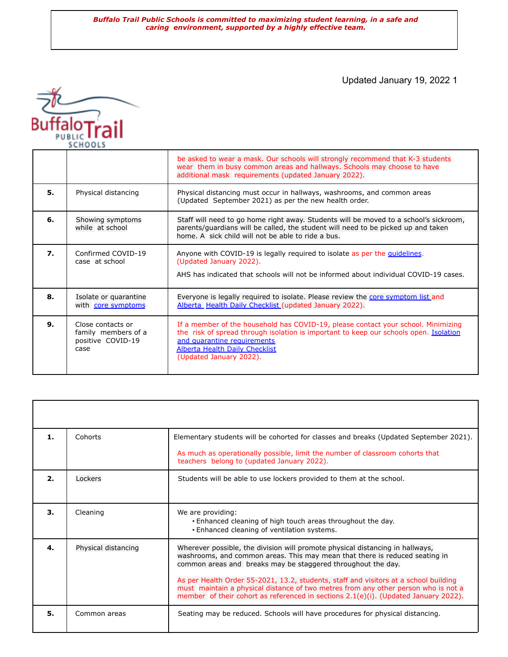Updated January 19, 2022 1



|    |                                                                       | be asked to wear a mask. Our schools will strongly recommend that K-3 students<br>wear them in busy common areas and hallways. Schools may choose to have<br>additional mask requirements (updated January 2022).                                                             |
|----|-----------------------------------------------------------------------|-------------------------------------------------------------------------------------------------------------------------------------------------------------------------------------------------------------------------------------------------------------------------------|
| 5. | Physical distancing                                                   | Physical distancing must occur in hallways, washrooms, and common areas<br>(Updated September 2021) as per the new health order.                                                                                                                                              |
| 6. | Showing symptoms<br>while at school                                   | Staff will need to go home right away. Students will be moved to a school's sickroom,<br>parents/guardians will be called, the student will need to be picked up and taken<br>home. A sick child will not be able to ride a bus.                                              |
| 7. | Confirmed COVID-19<br>case at school                                  | Anyone with COVID-19 is legally required to isolate as per the quidelines.<br>(Updated January 2022).<br>AHS has indicated that schools will not be informed about individual COVID-19 cases.                                                                                 |
| 8. | Isolate or quarantine<br>with core symptoms                           | Everyone is legally required to isolate. Please review the core symptom list and<br>Alberta Health Daily Checklist (updated January 2022).                                                                                                                                    |
| 9. | Close contacts or<br>family members of a<br>positive COVID-19<br>case | If a member of the household has COVID-19, please contact your school. Minimizing<br>the risk of spread through isolation is important to keep our schools open. Isolation<br>and quarantine requirements<br><b>Alberta Health Daily Checklist</b><br>(Updated January 2022). |

| 1. | Cohorts             | Elementary students will be cohorted for classes and breaks (Updated September 2021).<br>As much as operationally possible, limit the number of classroom cohorts that                                                                                                                                                                                                                                                                                                                            |
|----|---------------------|---------------------------------------------------------------------------------------------------------------------------------------------------------------------------------------------------------------------------------------------------------------------------------------------------------------------------------------------------------------------------------------------------------------------------------------------------------------------------------------------------|
|    |                     | teachers belong to (updated January 2022).                                                                                                                                                                                                                                                                                                                                                                                                                                                        |
| 2. | Lockers             | Students will be able to use lockers provided to them at the school.                                                                                                                                                                                                                                                                                                                                                                                                                              |
| 3. | Cleaning            | We are providing:<br>. Enhanced cleaning of high touch areas throughout the day.<br>. Enhanced cleaning of ventilation systems.                                                                                                                                                                                                                                                                                                                                                                   |
| 4. | Physical distancing | Wherever possible, the division will promote physical distancing in hallways,<br>washrooms, and common areas. This may mean that there is reduced seating in<br>common areas and breaks may be staggered throughout the day.<br>As per Health Order 55-2021, 13.2, students, staff and visitors at a school building<br>must maintain a physical distance of two metres from any other person who is not a<br>member of their cohort as referenced in sections 2.1(e)(i). (Updated January 2022). |
| 5. | Common areas        | Seating may be reduced. Schools will have procedures for physical distancing.                                                                                                                                                                                                                                                                                                                                                                                                                     |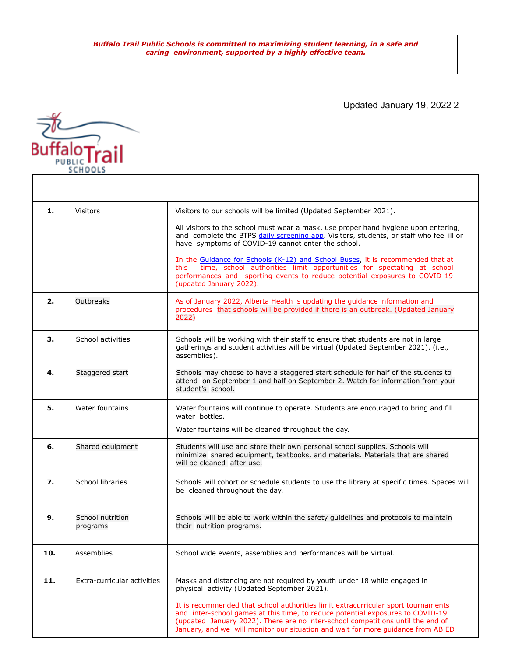Updated January 19, 2022 2



| 1.  | <b>Visitors</b>              | Visitors to our schools will be limited (Updated September 2021).<br>All visitors to the school must wear a mask, use proper hand hygiene upon entering,<br>and complete the BTPS daily screening app. Visitors, students, or staff who feel ill or<br>have symptoms of COVID-19 cannot enter the school.<br>In the Guidance for Schools (K-12) and School Buses, it is recommended that at<br>time, school authorities limit opportunities for spectating at school<br>this.<br>performances and sporting events to reduce potential exposures to COVID-19<br>(updated January 2022). |
|-----|------------------------------|----------------------------------------------------------------------------------------------------------------------------------------------------------------------------------------------------------------------------------------------------------------------------------------------------------------------------------------------------------------------------------------------------------------------------------------------------------------------------------------------------------------------------------------------------------------------------------------|
| 2.  | Outbreaks                    | As of January 2022, Alberta Health is updating the guidance information and<br>procedures that schools will be provided if there is an outbreak. (Updated January<br>2022)                                                                                                                                                                                                                                                                                                                                                                                                             |
| 3.  | School activities            | Schools will be working with their staff to ensure that students are not in large<br>gatherings and student activities will be virtual (Updated September 2021). (i.e.,<br>assemblies).                                                                                                                                                                                                                                                                                                                                                                                                |
| 4.  | Staggered start              | Schools may choose to have a staggered start schedule for half of the students to<br>attend on September 1 and half on September 2. Watch for information from your<br>student's school.                                                                                                                                                                                                                                                                                                                                                                                               |
| 5.  | Water fountains              | Water fountains will continue to operate. Students are encouraged to bring and fill<br>water bottles.<br>Water fountains will be cleaned throughout the day.                                                                                                                                                                                                                                                                                                                                                                                                                           |
| 6.  | Shared equipment             | Students will use and store their own personal school supplies. Schools will<br>minimize shared equipment, textbooks, and materials. Materials that are shared<br>will be cleaned after use.                                                                                                                                                                                                                                                                                                                                                                                           |
| 7.  | School libraries             | Schools will cohort or schedule students to use the library at specific times. Spaces will<br>be cleaned throughout the day.                                                                                                                                                                                                                                                                                                                                                                                                                                                           |
| 9.  | School nutrition<br>programs | Schools will be able to work within the safety guidelines and protocols to maintain<br>their nutrition programs.                                                                                                                                                                                                                                                                                                                                                                                                                                                                       |
| 10. | Assemblies                   | School wide events, assemblies and performances will be virtual.                                                                                                                                                                                                                                                                                                                                                                                                                                                                                                                       |
| 11. | Extra-curricular activities  | Masks and distancing are not required by youth under 18 while engaged in<br>physical activity (Updated September 2021).<br>It is recommended that school authorities limit extracurricular sport tournaments<br>and inter-school games at this time, to reduce potential exposures to COVID-19<br>(updated January 2022). There are no inter-school competitions until the end of<br>January, and we will monitor our situation and wait for more guidance from AB ED                                                                                                                  |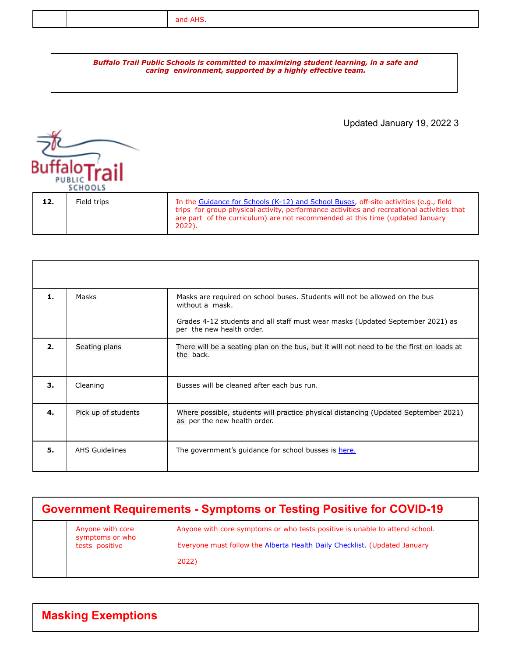## Updated January 19, 2022 3 PURLIC SCHOOLS **12.** Field trips In the Guidance for Schools (K-12) and School Buses, off-site activities (e.g., field trips for group physical activity, performance activities and recreational activities that are part of the curriculum) are not recommended at this time (updated January 2022).

| 1 <sub>1</sub> | Masks                 | Masks are required on school buses. Students will not be allowed on the bus<br>without a mask.                      |
|----------------|-----------------------|---------------------------------------------------------------------------------------------------------------------|
|                |                       | Grades 4-12 students and all staff must wear masks (Updated September 2021) as<br>per the new health order.         |
| 2.             | Seating plans         | There will be a seating plan on the bus, but it will not need to be the first on loads at<br>the back.              |
| 3.             | Cleaning              | Busses will be cleaned after each bus run.                                                                          |
| 4.             | Pick up of students   | Where possible, students will practice physical distancing (Updated September 2021)<br>as per the new health order. |
| 5.             | <b>AHS Guidelines</b> | The government's guidance for school busses is here.                                                                |

| <b>Government Requirements - Symptoms or Testing Positive for COVID-19</b> |                                                       |                                                                                                                                                                   |
|----------------------------------------------------------------------------|-------------------------------------------------------|-------------------------------------------------------------------------------------------------------------------------------------------------------------------|
|                                                                            | Anyone with core<br>symptoms or who<br>tests positive | Anyone with core symptoms or who tests positive is unable to attend school.<br>Everyone must follow the Alberta Health Daily Checklist. (Updated January<br>2022) |

| <b>Masking Exemptions</b> |  |
|---------------------------|--|